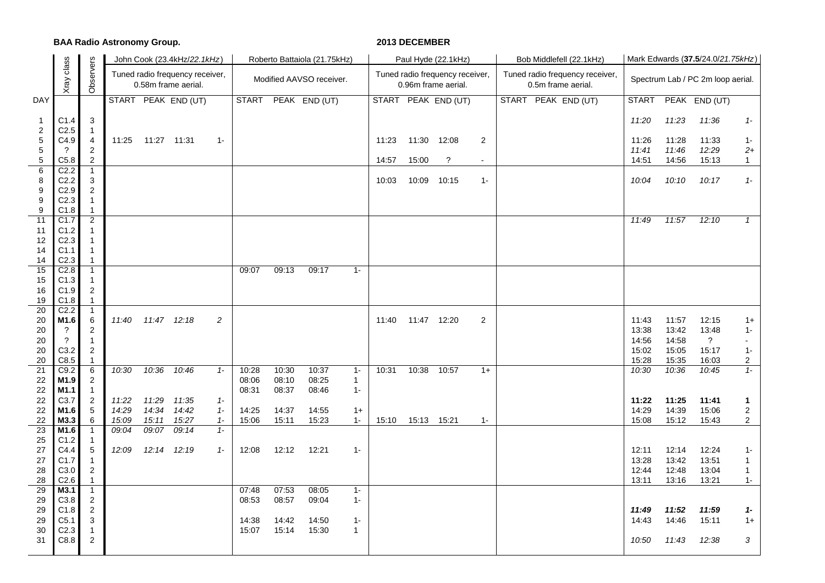## **BAA Radio Astronomy Group. 2013 DECEMBER**

|                                         |                          |                                  |       |             | John Cook (23.4kHz/22.1kHz)                            |                |              |       | Roberto Battaiola (21.75kHz) |              |       |             | Paul Hyde (22.1kHz)                                    |                | Bob Middlefell (22.1kHz)                              | Mark Edwards (37.5/24.0/21.75kHz) |                |                |                         |  |  |
|-----------------------------------------|--------------------------|----------------------------------|-------|-------------|--------------------------------------------------------|----------------|--------------|-------|------------------------------|--------------|-------|-------------|--------------------------------------------------------|----------------|-------------------------------------------------------|-----------------------------------|----------------|----------------|-------------------------|--|--|
|                                         | class<br>Xray            | Observers                        |       |             | Tuned radio frequency receiver,<br>0.58m frame aerial. |                |              |       | Modified AAVSO receiver.     |              |       |             | Tuned radio frequency receiver,<br>0.96m frame aerial. |                | Tuned radio frequency receiver,<br>0.5m frame aerial. | Spectrum Lab / PC 2m loop aerial. |                |                |                         |  |  |
| DAY                                     |                          |                                  |       |             | START PEAK END (UT)                                    |                | <b>START</b> |       | PEAK END (UT)                |              |       |             | START PEAK END (UT)                                    |                | START PEAK END (UT)                                   | <b>START</b>                      |                | PEAK END (UT)  |                         |  |  |
| $\mathbf{1}$<br>$\overline{\mathbf{c}}$ | C1.4<br>C <sub>2.5</sub> | 3<br>$\overline{1}$              |       |             |                                                        |                |              |       |                              |              |       |             |                                                        |                |                                                       | 11:20                             | 11:23          | 11:36          | $1 -$                   |  |  |
| 5                                       | C4.9                     | 4                                | 11:25 | 11:27 11:31 |                                                        | $1 -$          |              |       |                              |              | 11:23 | 11:30       | 12:08                                                  | $\overline{2}$ |                                                       | 11:26                             | 11:28          | 11:33          | $1 -$                   |  |  |
| 5<br>5                                  | ?<br>C5.8                | $\overline{c}$<br>$\overline{2}$ |       |             |                                                        |                |              |       |                              |              | 14:57 | 15:00       | $\overline{\mathcal{E}}$                               | $\blacksquare$ |                                                       | 11:41<br>14:51                    | 11:46<br>14:56 | 12:29<br>15:13 | $2+$<br>$\mathbf{1}$    |  |  |
| 6                                       | C <sub>2.2</sub>         | $\overline{1}$                   |       |             |                                                        |                |              |       |                              |              |       |             |                                                        |                |                                                       |                                   |                |                |                         |  |  |
| 8                                       | C <sub>2.2</sub>         | 3                                |       |             |                                                        |                |              |       |                              |              | 10:03 | 10:09       | 10:15                                                  | $1 -$          |                                                       | 10:04                             | 10:10          | 10:17          | $1 -$                   |  |  |
| 9                                       | C2.9                     | $\overline{2}$                   |       |             |                                                        |                |              |       |                              |              |       |             |                                                        |                |                                                       |                                   |                |                |                         |  |  |
| 9                                       | C <sub>2.3</sub>         | $\mathbf{1}$                     |       |             |                                                        |                |              |       |                              |              |       |             |                                                        |                |                                                       |                                   |                |                |                         |  |  |
| 9<br>11                                 | C1.8<br>C <sub>1.7</sub> | $\mathbf{1}$<br>$\overline{2}$   |       |             |                                                        |                |              |       |                              |              |       |             |                                                        |                |                                                       | 11:49                             | 11:57          | 12:10          | $\mathcal{I}$           |  |  |
| 11                                      | C1.2                     | 1                                |       |             |                                                        |                |              |       |                              |              |       |             |                                                        |                |                                                       |                                   |                |                |                         |  |  |
| 12                                      | C <sub>2.3</sub>         | $\mathbf 1$                      |       |             |                                                        |                |              |       |                              |              |       |             |                                                        |                |                                                       |                                   |                |                |                         |  |  |
| 14                                      | C <sub>1.1</sub>         | $\mathbf{1}$                     |       |             |                                                        |                |              |       |                              |              |       |             |                                                        |                |                                                       |                                   |                |                |                         |  |  |
| 14                                      | C <sub>2.3</sub>         | $\mathbf{1}$                     |       |             |                                                        |                |              |       |                              |              |       |             |                                                        |                |                                                       |                                   |                |                |                         |  |  |
| 15                                      | C <sub>2.8</sub>         | $\overline{1}$                   |       |             |                                                        |                | 09:07        | 09:13 | 09:17                        | $1 -$        |       |             |                                                        |                |                                                       |                                   |                |                |                         |  |  |
| 15<br>16                                | C1.3<br>C1.9             | $\mathbf{1}$<br>$\sqrt{2}$       |       |             |                                                        |                |              |       |                              |              |       |             |                                                        |                |                                                       |                                   |                |                |                         |  |  |
| 19                                      | C1.8                     | $\mathbf{1}$                     |       |             |                                                        |                |              |       |                              |              |       |             |                                                        |                |                                                       |                                   |                |                |                         |  |  |
| $\overline{20}$                         | C <sub>2.2</sub>         | $\overline{1}$                   |       |             |                                                        |                |              |       |                              |              |       |             |                                                        |                |                                                       |                                   |                |                |                         |  |  |
| 20                                      | M1.6                     | 6                                | 11:40 | 11:47 12:18 |                                                        | $\overline{c}$ |              |       |                              |              | 11:40 | 11:47 12:20 |                                                        | $\overline{2}$ |                                                       | 11:43                             | 11:57          | 12:15          | $1+$                    |  |  |
| 20                                      | ?                        | $\overline{c}$                   |       |             |                                                        |                |              |       |                              |              |       |             |                                                        |                |                                                       | 13:38                             | 13:42          | 13:48          | 1-                      |  |  |
| 20                                      | $\gamma$                 | $\mathbf{1}$                     |       |             |                                                        |                |              |       |                              |              |       |             |                                                        |                |                                                       | 14:56                             | 14:58          | ?              | $\blacksquare$          |  |  |
| 20                                      | C <sub>3.2</sub>         | $\overline{2}$                   |       |             |                                                        |                |              |       |                              |              |       |             |                                                        |                |                                                       | 15:02                             | 15:05          | 15:17          | $1 -$                   |  |  |
| 20<br>21                                | C8.5<br>C9.2             | $\mathbf{1}$<br>6                | 10:30 | 10:36       | 10:46                                                  | $1 -$          | 10:28        | 10:30 | 10:37                        | $1 -$        | 10:31 | 10:38       | 10:57                                                  | $1+$           |                                                       | 15:28<br>10:30                    | 15:35<br>10:36 | 16:03<br>10:45 | $\overline{c}$<br>$1 -$ |  |  |
| 22                                      | M1.9                     | $\overline{2}$                   |       |             |                                                        |                | 08:06        | 08:10 | 08:25                        | $\mathbf{1}$ |       |             |                                                        |                |                                                       |                                   |                |                |                         |  |  |
| 22                                      | M <sub>1.1</sub>         | $\overline{1}$                   |       |             |                                                        |                | 08:31        | 08:37 | 08:46                        | $1 -$        |       |             |                                                        |                |                                                       |                                   |                |                |                         |  |  |
| 22                                      | C3.7                     | $\overline{2}$                   | 11:22 | 11:29       | 11:35                                                  | $1 -$          |              |       |                              |              |       |             |                                                        |                |                                                       | 11:22                             | 11:25          | 11:41          | 1                       |  |  |
| 22                                      | M1.6                     | $\sqrt{5}$                       | 14:29 | 14:34       | 14:42                                                  | $1 -$          | 14:25        | 14:37 | 14:55                        | $1+$         |       |             |                                                        |                |                                                       | 14:29                             | 14:39          | 15:06          | $\overline{c}$          |  |  |
| 22                                      | M3.3                     | 6                                | 15:09 | 15:11       | 15:27                                                  | $1 -$          | 15:06        | 15:11 | 15:23                        | $1 -$        | 15:10 | 15:13       | 15:21                                                  | $1 -$          |                                                       | 15:08                             | 15:12          | 15:43          | $\overline{2}$          |  |  |
| 23                                      | M1.6                     | $\mathbf{1}$                     | 09:04 | 09:07       | 09:14                                                  | $1 -$          |              |       |                              |              |       |             |                                                        |                |                                                       |                                   |                |                |                         |  |  |
| 25<br>27                                | C1.2<br>C4.4             | $\mathbf{1}$<br>5                | 12:09 |             | 12:14 12:19                                            | $1 -$          | 12:08        | 12:12 | 12:21                        | $1 -$        |       |             |                                                        |                |                                                       | 12:11                             | 12:14          | 12:24          | $1 -$                   |  |  |
| 27                                      | C1.7                     | $\mathbf{1}$                     |       |             |                                                        |                |              |       |                              |              |       |             |                                                        |                |                                                       | 13:28                             | 13:42          | 13:51          | $\mathbf{1}$            |  |  |
| 28                                      | C3.0                     | $\overline{2}$                   |       |             |                                                        |                |              |       |                              |              |       |             |                                                        |                |                                                       | 12:44                             | 12:48          | 13:04          | 1                       |  |  |
| 28                                      | C2.6                     | $\mathbf{1}$                     |       |             |                                                        |                |              |       |                              |              |       |             |                                                        |                |                                                       | 13:11                             | 13:16          | 13:21          | $1 -$                   |  |  |
| 29                                      | M3.1                     | $\overline{1}$                   |       |             |                                                        |                | 07:48        | 07:53 | 08:05                        | $1 -$        |       |             |                                                        |                |                                                       |                                   |                |                |                         |  |  |
| 29                                      | C3.8                     | $\sqrt{2}$                       |       |             |                                                        |                | 08:53        | 08:57 | 09:04                        | $1 -$        |       |             |                                                        |                |                                                       |                                   |                |                |                         |  |  |
| 29<br>29                                | C1.8<br>C <sub>5.1</sub> | $\overline{2}$                   |       |             |                                                        |                | 14:38        | 14:42 | 14:50                        | $1 -$        |       |             |                                                        |                |                                                       | 11:49<br>14:43                    | 11:52<br>14:46 | 11:59<br>15:11 | 1-                      |  |  |
| 30                                      | C <sub>2.3</sub>         | 3<br>1                           |       |             |                                                        |                | 15:07        | 15:14 | 15:30                        | $\mathbf{1}$ |       |             |                                                        |                |                                                       |                                   |                |                | $1+$                    |  |  |
| 31                                      | C8.8                     | 2                                |       |             |                                                        |                |              |       |                              |              |       |             |                                                        |                |                                                       | 10:50                             | 11:43          | 12:38          | 3                       |  |  |
|                                         |                          |                                  |       |             |                                                        |                |              |       |                              |              |       |             |                                                        |                |                                                       |                                   |                |                |                         |  |  |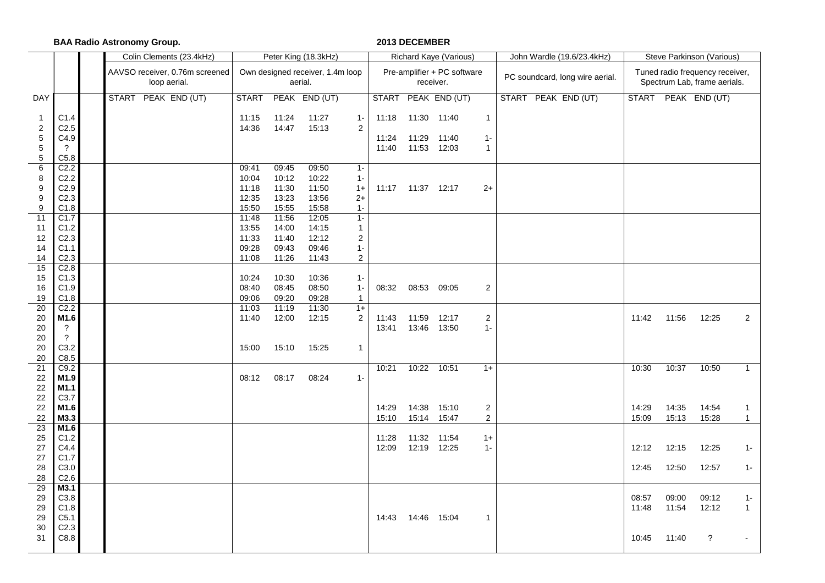**BAA Radio Astronomy Group. 2013 DECEMBER**

|                                                             |                                                                           | Colin Clements (23.4kHz)                       |                                           |                                           | Peter King (18.3kHz)                        |                                                                    |                         |                                     | Richard Kaye (Various)      |                                         | John Wardle (19.6/23.4kHz)      | Steve Parkinson (Various) |                |                                                                 |                       |  |  |
|-------------------------------------------------------------|---------------------------------------------------------------------------|------------------------------------------------|-------------------------------------------|-------------------------------------------|---------------------------------------------|--------------------------------------------------------------------|-------------------------|-------------------------------------|-----------------------------|-----------------------------------------|---------------------------------|---------------------------|----------------|-----------------------------------------------------------------|-----------------------|--|--|
|                                                             |                                                                           | AAVSO receiver, 0.76m screened<br>loop aerial. |                                           |                                           | Own designed receiver, 1.4m loop<br>aerial. |                                                                    |                         | receiver.                           | Pre-amplifier + PC software |                                         | PC soundcard, long wire aerial. |                           |                | Tuned radio frequency receiver,<br>Spectrum Lab, frame aerials. |                       |  |  |
| DAY                                                         |                                                                           | START PEAK END (UT)                            | <b>START</b>                              |                                           | PEAK END (UT)                               |                                                                    | <b>START</b>            |                                     | PEAK END (UT)               |                                         | START PEAK END (UT)             |                           |                | START PEAK END (UT)                                             |                       |  |  |
| $\mathbf{1}$<br>$\overline{\mathbf{c}}$<br>$\mathbf 5$<br>5 | C1.4<br>C <sub>2.5</sub><br>C4.9<br>$\overline{\cdot}$                    |                                                | 11:15<br>14:36                            | 11:24<br>14:47                            | 11:27<br>15:13                              | $1 -$<br>$\overline{2}$                                            | 11:18<br>11:24<br>11:40 | 11:30 11:40<br>11:29<br>11:53 12:03 | 11:40                       | $\mathbf{1}$<br>$1-$<br>$\mathbf{1}$    |                                 |                           |                |                                                                 |                       |  |  |
| 5<br>6                                                      | C5.8<br>C <sub>2.2</sub>                                                  |                                                | 09:41                                     | 09:45                                     | 09:50                                       | $1 -$                                                              |                         |                                     |                             |                                         |                                 |                           |                |                                                                 |                       |  |  |
| 8<br>9<br>9<br>9                                            | C <sub>2.2</sub><br>C <sub>2.9</sub><br>C <sub>2.3</sub><br>C1.8          |                                                | 10:04<br>11:18<br>12:35<br>15:50          | 10:12<br>11:30<br>13:23<br>15:55          | 10:22<br>11:50<br>13:56<br>15:58            | $1 -$<br>$1+$<br>$2+$<br>$1 -$                                     | 11:17                   | 11:37 12:17                         |                             | $2+$                                    |                                 |                           |                |                                                                 |                       |  |  |
| 11<br>11<br>12<br>14<br>14                                  | $\overline{C1.7}$<br>C1.2<br>C <sub>2.3</sub><br>C1.1<br>C <sub>2.3</sub> |                                                | 11:48<br>13:55<br>11:33<br>09:28<br>11:08 | 11:56<br>14:00<br>11:40<br>09:43<br>11:26 | 12:05<br>14:15<br>12:12<br>09:46<br>11:43   | $1 -$<br>$\mathbf{1}$<br>$\overline{2}$<br>$1 -$<br>$\overline{a}$ |                         |                                     |                             |                                         |                                 |                           |                |                                                                 |                       |  |  |
| 15<br>15<br>16<br>19                                        | C <sub>2.8</sub><br>C1.3<br>C1.9<br>C1.8                                  |                                                | 10:24<br>08:40<br>09:06                   | 10:30<br>08:45<br>09:20                   | 10:36<br>08:50<br>09:28                     | $1 -$<br>$1 -$<br>$\mathbf{1}$                                     | 08:32                   | 08:53 09:05                         |                             | $\overline{c}$                          |                                 |                           |                |                                                                 |                       |  |  |
| $\overline{20}$<br>20<br>20<br>20<br>20                     | C <sub>2.2</sub><br>M1.6<br>$\gamma$<br>$\overline{?}$<br>C3.2            |                                                | 11:03<br>11:40<br>15:00                   | 11:19<br>12:00<br>15:10                   | 11:30<br>12:15<br>15:25                     | $1+$<br>$\overline{c}$<br>$\mathbf{1}$                             | 11:43<br>13:41          | 11:59<br>13:46 13:50                | 12:17                       | $\overline{a}$<br>$1 -$                 |                                 | 11:42                     | 11:56          | 12:25                                                           | $\overline{c}$        |  |  |
| 20<br>21<br>22<br>22<br>22                                  | C8.5<br>C9.2<br>M1.9<br>M1.1<br>C3.7                                      |                                                | 08:12                                     | 08:17                                     | 08:24                                       | $1 -$                                                              | 10:21                   | 10:22 10:51                         |                             | $1+$                                    |                                 | 10:30                     | 10:37          | 10:50                                                           | $\mathbf{1}$          |  |  |
| 22<br>22<br>$\overline{23}$                                 | M1.6<br>M3.3<br>M1.6                                                      |                                                |                                           |                                           |                                             |                                                                    | 14:29<br>15:10          | 14:38<br>15:14                      | 15:10<br>15:47              | $\overline{2}$<br>$\mathbf{2}^{\prime}$ |                                 | 14:29<br>15:09            | 14:35<br>15:13 | 14:54<br>15:28                                                  | 1<br>$\mathbf{1}$     |  |  |
| 25<br>27<br>27<br>28                                        | C1.2<br>C4.4<br>C1.7<br>C3.0                                              |                                                |                                           |                                           |                                             |                                                                    | 11:28<br>12:09          | 11:32<br>12:19 12:25                | 11:54                       | $1+$<br>$1 -$                           |                                 | 12:12<br>12:45            | 12:15<br>12:50 | 12:25<br>12:57                                                  | $1 -$<br>$1 -$        |  |  |
| 28                                                          | C2.6                                                                      |                                                |                                           |                                           |                                             |                                                                    |                         |                                     |                             |                                         |                                 |                           |                |                                                                 |                       |  |  |
| 29<br>29<br>29<br>29                                        | M3.1<br>C3.8<br>C1.8<br>C5.1                                              |                                                |                                           |                                           |                                             |                                                                    | 14:43                   | 14:46 15:04                         |                             | $\mathbf{1}$                            |                                 | 08:57<br>11:48            | 09:00<br>11:54 | 09:12<br>12:12                                                  | $1 -$<br>$\mathbf{1}$ |  |  |
| 30<br>31                                                    | C <sub>2.3</sub><br>C8.8                                                  |                                                |                                           |                                           |                                             |                                                                    |                         |                                     |                             |                                         |                                 | 10:45                     | 11:40          | $\ddot{\phantom{0}}$                                            |                       |  |  |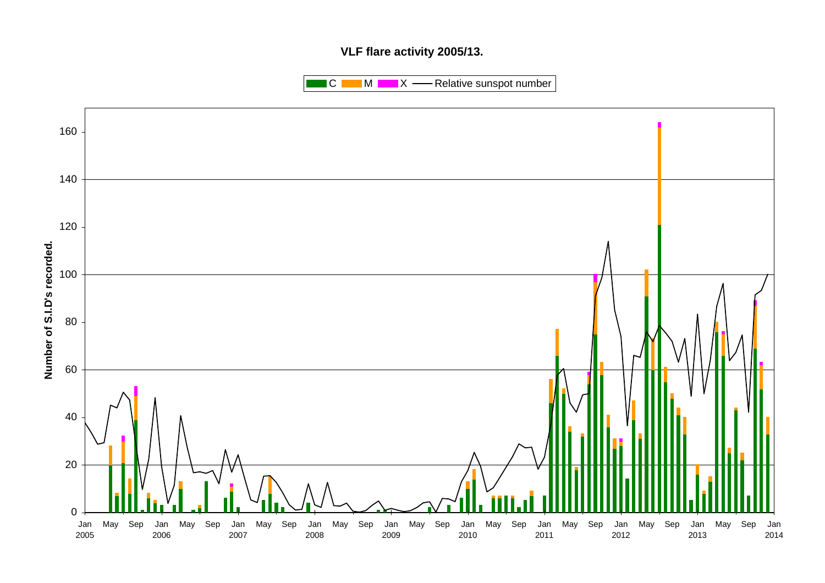# **VLF flare activity 2005/13.**

 $\blacksquare$  C  $\blacksquare$  M  $\blacksquare$   $\blacksquare$  X  $\blacksquare$  Relative sunspot number

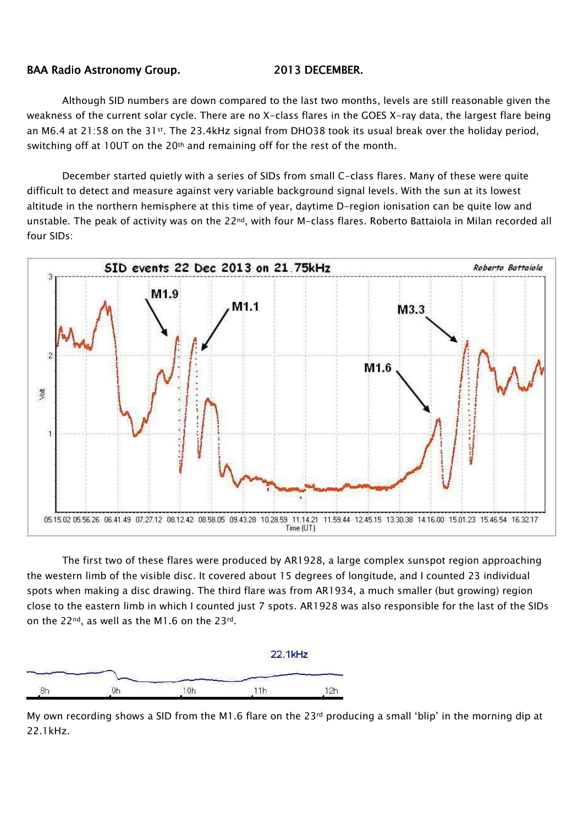## BAA Radio Astronomy Group. 2013 DECEMBER.

Although SID numbers are down compared to the last two months, levels are still reasonable given the weakness of the current solar cycle. There are no X-class flares in the GOES X-ray data, the largest flare being an M6.4 at 21:58 on the 31<sup>st</sup>. The 23.4kHz signal from DHO38 took its usual break over the holiday period, switching off at 10UT on the 20th and remaining off for the rest of the month.

December started quietly with a series of SIDs from small C-class flares. Many of these were quite difficult to detect and measure against very variable background signal levels. With the sun at its lowest altitude in the northern hemisphere at this time of year, daytime D-region ionisation can be quite low and unstable. The peak of activity was on the 22<sup>nd</sup>, with four M-class flares. Roberto Battaiola in Milan recorded all four SIDs:



The first two of these flares were produced by AR1928, a large complex sunspot region approaching the western limb of the visible disc. It covered about 15 degrees of longitude, and I counted 23 individual spots when making a disc drawing. The third flare was from AR1934, a much smaller (but growing) region close to the eastern limb in which I counted just 7 spots. AR1928 was also responsible for the last of the SIDs on the 22nd, as well as the M1.6 on the 23rd.



My own recording shows a SID from the M1.6 flare on the 23rd producing a small 'blip' in the morning dip at 22.1kHz.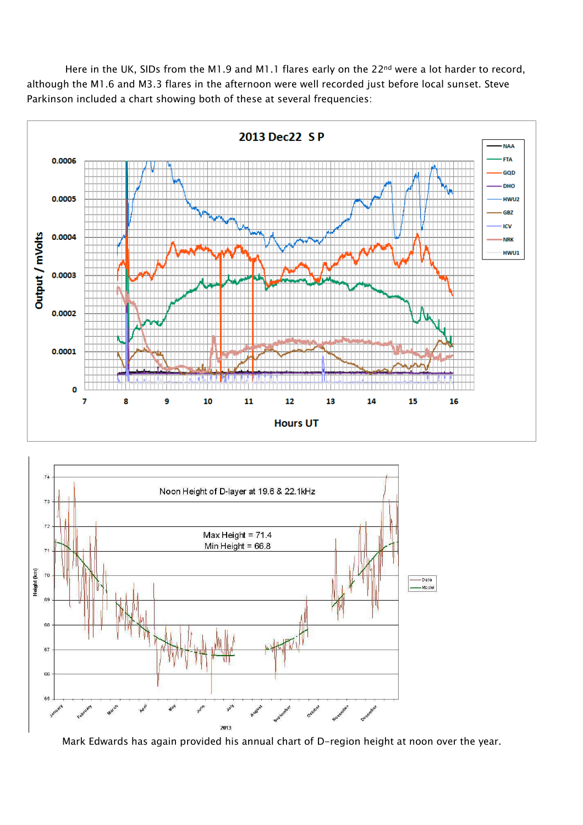Here in the UK, SIDs from the M1.9 and M1.1 flares early on the 22<sup>nd</sup> were a lot harder to record, although the M1.6 and M3.3 flares in the afternoon were well recorded just before local sunset. Steve Parkinson included a chart showing both of these at several frequencies:





Mark Edwards has again provided his annual chart of D-region height at noon over the year.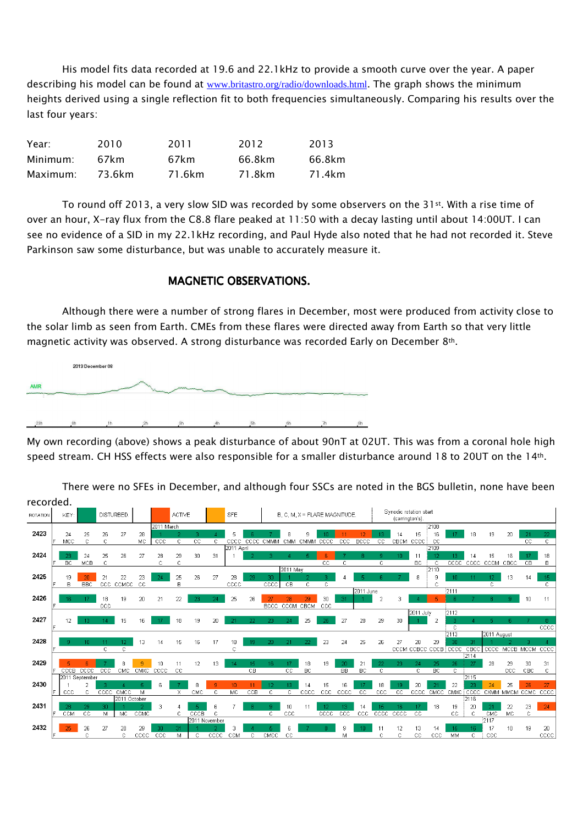His model fits data recorded at 19.6 and 22.1kHz to provide a smooth curve over the year. A paper describing his model can be found at www.britastro.org/radio/downloads.html. The graph shows the minimum heights derived using a single reflection fit to both frequencies simultaneously. Comparing his results over the last four years:

| Year:    | 2010   | 2011   | 2012   | 2013   |
|----------|--------|--------|--------|--------|
| Minimum: | 67km   | 67km   | 66.8km | 66.8km |
| Maximum: | 73.6km | 71.6km | 71.8km | 71.4km |

To round off 2013, a very slow SID was recorded by some observers on the 31st. With a rise time of over an hour, X-ray flux from the C8.8 flare peaked at 11:50 with a decay lasting until about 14:00UT. I can see no evidence of a SID in my 22.1kHz recording, and Paul Hyde also noted that he had not recorded it. Steve Parkinson saw some disturbance, but was unable to accurately measure it.

## MAGNETIC OBSERVATIONS.

Although there were a number of strong flares in December, most were produced from activity close to the solar limb as seen from Earth. CMEs from these flares were directed away from Earth so that very little magnetic activity was observed. A strong disturbance was recorded Early on December 8th.



My own recording (above) shows a peak disturbance of about 90nT at 02UT. This was from a coronal hole high speed stream. CH HSS effects were also responsible for a smaller disturbance around 18 to 20UT on the 14th.

recorded.Synodic rotation start ROTATION KEY DISTURBED. ACTIVE **REF** B. C. M. X = FLARE MAGNITUDE (carrington's) 2011 March 108 2423  $\overline{24}$  $27$ 28  $\bar{z}$  $\mathbf{a}$  $14$  $15<sup>15</sup>$  $16$ 18 19  $20 -$ 25 26 MC. MC CCCC CMMM CMM CMMM CBCM CCCC 2424  $31$  $\overline{24}$ 25 26 27  $25$ 29 30  $\bar{1}$  $11$  $14$  $15$ 16 18 **MCB** CCCC CCCM CBCC D011 May 2425  $\frac{21}{\text{CCC}}$   $\frac{22}{\text{CCMCC}}$ 25  $27$  $rac{28}{\text{ccc}}$  $rac{23}{\text{CC}}$ 26  $\overline{\mathbf{8}}$  $\boldsymbol{9}$  $13$ 

There were no SFEs in December, and although four SSCs are noted in the BGS bulletin, none have been

|      |                 |                |                 | --- ------           |             |      |    |                       |       | ----       |        | -----       |           |      |              |      |             |              |      |                      |            |            |               |                   |              |                 |            |
|------|-----------------|----------------|-----------------|----------------------|-------------|------|----|-----------------------|-------|------------|--------|-------------|-----------|------|--------------|------|-------------|--------------|------|----------------------|------------|------------|---------------|-------------------|--------------|-----------------|------------|
|      |                 |                |                 |                      |             |      |    |                       |       |            |        |             |           |      |              |      | 2011 June   |              |      |                      |            | :2111      |               |                   |              |                 |            |
| 2426 | 16.             |                | 18              | 19                   | 20          | 21   | 22 | 23                    | 24    | 25         | 26     | 27          | 28        | 29   | 30           | 31   |             | 2            |      |                      |            |            |               |                   | 9.           | 10 <sub>1</sub> | -11        |
|      |                 |                | CCC             |                      |             |      |    |                       |       |            |        | <b>BCCC</b> | CCCM      | CBCM | CCC          |      |             |              |      |                      |            |            |               |                   |              |                 |            |
|      |                 |                |                 |                      |             |      |    |                       |       |            |        |             |           |      |              |      |             |              |      | 2011 July            |            | 2112       |               |                   |              |                 |            |
| 2427 |                 | 13.            | 14 <sub>1</sub> | 15                   | 16          | 17   | 18 | 19                    | 20    | $-21$      | 22     | 23          | 24        | 25   | 26           | -27  | 28          | 29           | 30   |                      |            |            |               |                   |              |                 |            |
|      |                 |                |                 |                      |             |      |    |                       |       |            |        |             |           |      |              |      |             |              |      |                      |            | c          |               |                   |              |                 | cccc       |
|      |                 |                |                 |                      |             |      |    |                       |       |            |        |             |           |      |              |      |             |              |      |                      |            | 2113       |               | 2011 August       |              |                 |            |
| 2428 |                 | 1N.            |                 |                      | 13          | 14   | 15 | 16                    | 17    | 18         |        | 20          | -21       | 22.  | 23           | 24   | 25          | 26           | 27   | 28                   | 29         | 30         | 31            |                   |              |                 |            |
|      |                 |                | C.              | c                    |             |      |    |                       |       |            |        |             |           |      |              |      |             |              |      | CCCM CCBCC CCCB CCCC |            |            | CBCC          | cccc              | MCCB         | MCCM            | cccc       |
|      |                 |                |                 |                      |             |      |    |                       |       |            |        |             |           |      |              |      |             |              |      |                      |            |            | 2114          |                   |              |                 |            |
| 2429 |                 |                |                 |                      |             | 10   |    |                       | 13    |            |        | 16.         |           | 18   | 19           | 20   |             | 22<br>$\sim$ | 23   |                      | 25         | 26         | 27            | 28                | 29           |                 | 31         |
|      | CCCB            | cccc           | ccc             | <b>CMC</b>           | <b>CMXC</b> | cccc | СC |                       |       |            | CВ     |             | CC.       | BC.  |              | BB   | BC          |              |      | C.                   | BC.        | c          |               |                   | $_{\rm ccc}$ | CBC             | -C.        |
|      |                 | 2011 September |                 |                      |             |      |    |                       |       |            |        |             |           |      |              |      |             |              |      |                      |            |            | 12115         |                   |              |                 |            |
| 2430 |                 |                |                 |                      |             | 6    |    | 8                     |       |            |        |             |           | 14   | 15           | 16   |             | 18           |      | 20 <sub>1</sub>      |            | 22         | 23            | 24                | 25           | 26              |            |
|      | ccc             |                | $\csc$          | CMCC<br>2011 October |             |      |    | CMC                   |       | MC         | CCB    |             |           | cccc | $_{\rm ccc}$ | cccc | $_{\rm cc}$ | ccc          | ĊĊ   | c <sub>ccc</sub>     | CMCC       | CMXC       | cccc<br>12116 | <b>CXMM</b>       | MMCM         | CCMC            | cccc       |
| 2431 |                 |                |                 |                      |             | 3    |    |                       |       |            |        |             |           |      |              |      |             |              |      |                      |            |            |               |                   |              |                 | 24         |
|      | 28<br>CCM       | 29<br>СC       | 30              | MC.                  | CCMC        |      |    |                       | h     |            |        | C.          | 10<br>ccc |      | cccc         | CCC  | ccc         |              |      | СC                   | 18         | 19<br>СC   | 20            |                   | 22<br>MC.    | 23              |            |
|      |                 |                | M               |                      |             |      | C. | CCCB<br>2011 November | с     |            |        |             |           |      |              |      |             | cccc         | cccc |                      |            |            | C.            | CMC<br>2117       |              | с               |            |
| 2432 | 25 <sub>1</sub> | 26             | 27              | 28                   | 29          | 30   | 31 |                       |       |            |        |             |           |      |              |      |             |              |      | 13                   |            | 15         | 16.           |                   | 18           |                 |            |
|      |                 |                |                 |                      | coco.       | CCC. | M  | $\sim$                | CCCC. | <b>CCM</b> | $\sim$ | CMCC.       | CC.       |      |              | M    |             |              |      | o٥                   | 14<br>nnn. | <b>MAA</b> |               | $C \rightarrow C$ |              |                 | 20<br>cccc |
|      |                 |                |                 |                      |             |      |    |                       |       |            |        |             |           |      |              |      |             |              |      |                      |            |            |               |                   |              |                 |            |